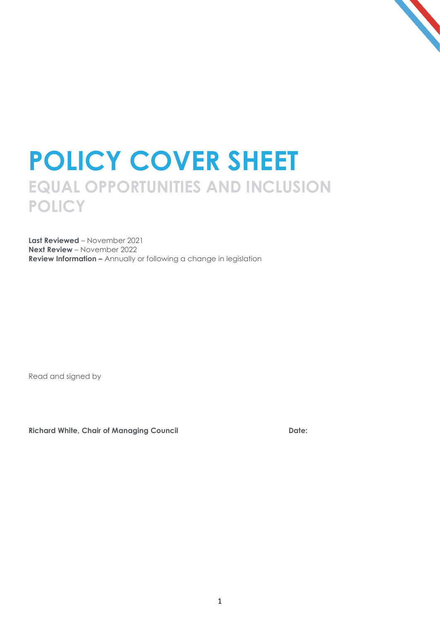## **POLICY COVER SHEET EQUAL OPPORTUNITIES AND INCLUSION POLICY**

**Last Reviewed** – November 2021 **Next Review** – November 2022 **Review Information –** Annually or following a change in legislation

Read and signed by

**Richard White, Chair of Managing Council Date:**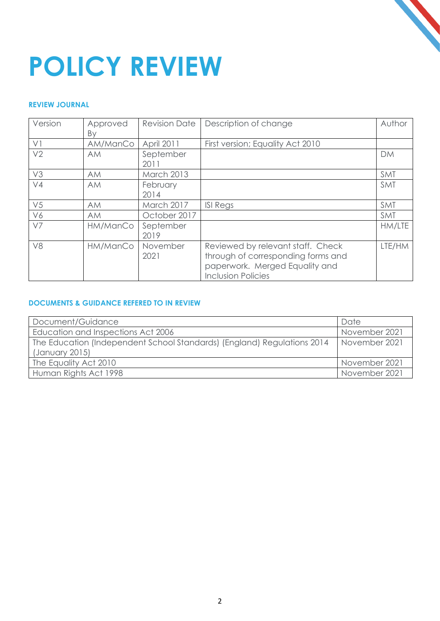# 

# **POLICY REVIEW**

#### **REVIEW JOURNAL**

| Version        | Approved<br>By | <b>Revision Date</b> | Description of change                                                                                                                  | Author     |
|----------------|----------------|----------------------|----------------------------------------------------------------------------------------------------------------------------------------|------------|
| VI             | AM/ManCo       | April 2011           | First version; Equality Act 2010                                                                                                       |            |
| V <sub>2</sub> | <b>AM</b>      | September<br>2011    |                                                                                                                                        | <b>DM</b>  |
| V3             | <b>AM</b>      | March 2013           |                                                                                                                                        | <b>SMT</b> |
| V <sub>4</sub> | <b>AM</b>      | February<br>2014     |                                                                                                                                        | <b>SMT</b> |
| V <sub>5</sub> | <b>AM</b>      | March 2017           | <b>ISI Regs</b>                                                                                                                        | <b>SMT</b> |
| V6             | <b>AM</b>      | October 2017         |                                                                                                                                        | <b>SMT</b> |
| V7             | HM/ManCo       | September<br>2019    |                                                                                                                                        | HM/LTE     |
| V <sub>8</sub> | HM/ManCo       | November<br>2021     | Reviewed by relevant staff. Check<br>through of corresponding forms and<br>paperwork. Merged Equality and<br><b>Inclusion Policies</b> | LTE/HM     |

#### **DOCUMENTS & GUIDANCE REFERED TO IN REVIEW**

| Document/Guidance                                                       | Date          |  |
|-------------------------------------------------------------------------|---------------|--|
| Education and Inspections Act 2006                                      | November 2021 |  |
| The Education (Independent School Standards) (England) Regulations 2014 | November 2021 |  |
| (January 2015)                                                          |               |  |
| The Equality Act 2010                                                   | November 2021 |  |
| Human Rights Act 1998                                                   | November 2021 |  |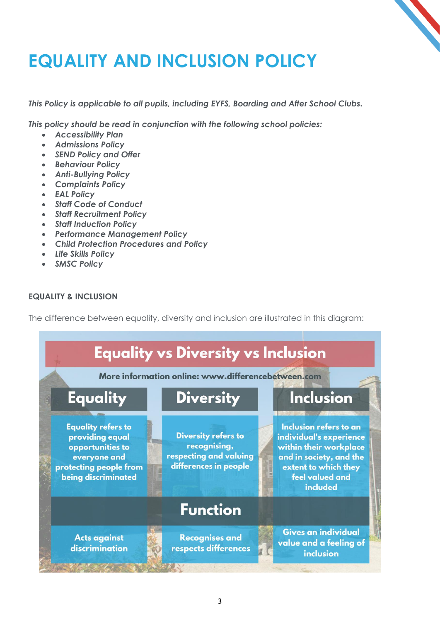### **EQUALITY AND INCLUSION POLICY**

*This Policy is applicable to all pupils, including EYFS, Boarding and After School Clubs.* 

*This policy should be read in conjunction with the following school policies:*

- *Accessibility Plan*
- *Admissions Policy*
- *SEND Policy and Offer*
- *Behaviour Policy*
- *Anti-Bullying Policy*
- *Complaints Policy*
- *EAL Policy*
- *Staff Code of Conduct*
- *Staff Recruitment Policy*
- *Staff Induction Policy*
- *Performance Management Policy*
- *Child Protection Procedures and Policy*
- *Life Skills Policy*
- *SMSC Policy*

#### **EQUALITY & INCLUSION**

The difference between equality, diversity and inclusion are illustrated in this diagram:

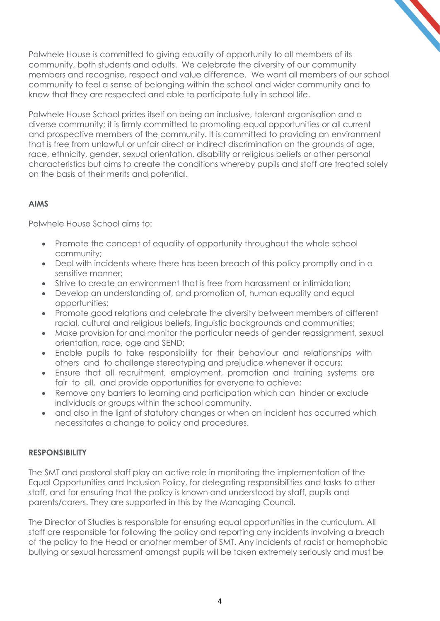Polwhele House is committed to giving equality of opportunity to all members of its community, both students and adults. We celebrate the diversity of our community members and recognise, respect and value difference. We want all members of our school community to feel a sense of belonging within the school and wider community and to know that they are respected and able to participate fully in school life.

Polwhele House School prides itself on being an inclusive, tolerant organisation and a diverse community; it is firmly committed to promoting equal opportunities or all current and prospective members of the community. It is committed to providing an environment that is free from unlawful or unfair direct or indirect discrimination on the grounds of age, race, ethnicity, gender, sexual orientation, disability or religious beliefs or other personal characteristics but aims to create the conditions whereby pupils and staff are treated solely on the basis of their merits and potential.

#### **AIMS**

Polwhele House School aims to:

- Promote the concept of equality of opportunity throughout the whole school community;
- Deal with incidents where there has been breach of this policy promptly and in a sensitive manner;
- Strive to create an environment that is free from harassment or intimidation;
- Develop an understanding of, and promotion of, human equality and equal opportunities;
- Promote good relations and celebrate the diversity between members of different racial, cultural and religious beliefs, linguistic backgrounds and communities;
- Make provision for and monitor the particular needs of gender reassignment, sexual orientation, race, age and SEND;
- Enable pupils to take responsibility for their behaviour and relationships with others and to challenge stereotyping and prejudice whenever it occurs;
- Ensure that all recruitment, employment, promotion and training systems are fair to all, and provide opportunities for everyone to achieve;
- Remove any barriers to learning and participation which can hinder or exclude individuals or groups within the school community.
- and also in the light of statutory changes or when an incident has occurred which necessitates a change to policy and procedures.

#### **RESPONSIBILITY**

The SMT and pastoral staff play an active role in monitoring the implementation of the Equal Opportunities and Inclusion Policy, for delegating responsibilities and tasks to other staff, and for ensuring that the policy is known and understood by staff, pupils and parents/carers. They are supported in this by the Managing Council.

The Director of Studies is responsible for ensuring equal opportunities in the curriculum. All staff are responsible for following the policy and reporting any incidents involving a breach of the policy to the Head or another member of SMT. Any incidents of racist or homophobic bullying or sexual harassment amongst pupils will be taken extremely seriously and must be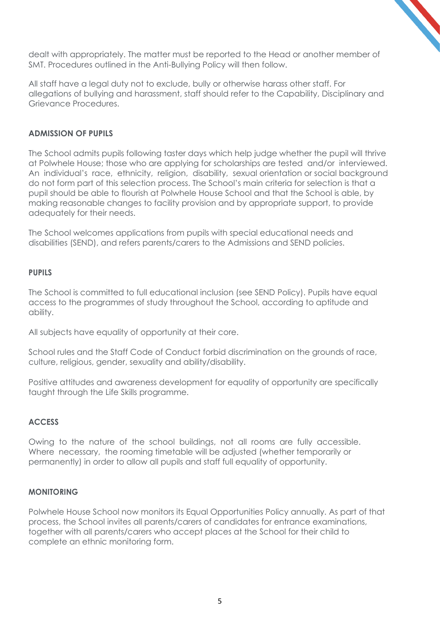dealt with appropriately. The matter must be reported to the Head or another member of SMT. Procedures outlined in the Anti-Bullying Policy will then follow.

All staff have a legal duty not to exclude, bully or otherwise harass other staff. For allegations of bullying and harassment, staff should refer to the Capability, Disciplinary and Grievance Procedures.

#### **ADMISSION OF PUPILS**

The School admits pupils following taster days which help judge whether the pupil will thrive at Polwhele House; those who are applying for scholarships are tested and/or interviewed. An individual's race, ethnicity, religion, disability, sexual orientation or social background do not form part of this selection process. The School's main criteria for selection is that a pupil should be able to flourish at Polwhele House School and that the School is able, by making reasonable changes to facility provision and by appropriate support, to provide adequately for their needs.

The School welcomes applications from pupils with special educational needs and disabilities (SEND), and refers parents/carers to the Admissions and SEND policies.

#### **PUPILS**

The School is committed to full educational inclusion (see SEND Policy). Pupils have equal access to the programmes of study throughout the School, according to aptitude and ability.

All subjects have equality of opportunity at their core.

School rules and the Staff Code of Conduct forbid discrimination on the grounds of race, culture, religious, gender, sexuality and ability/disability.

Positive attitudes and awareness development for equality of opportunity are specifically taught through the Life Skills programme.

#### **ACCESS**

Owing to the nature of the school buildings, not all rooms are fully accessible. Where necessary, the rooming timetable will be adjusted (whether temporarily or permanently) in order to allow all pupils and staff full equality of opportunity.

#### **MONITORING**

Polwhele House School now monitors its Equal Opportunities Policy annually. As part of that process, the School invites all parents/carers of candidates for entrance examinations, together with all parents/carers who accept places at the School for their child to complete an ethnic monitoring form.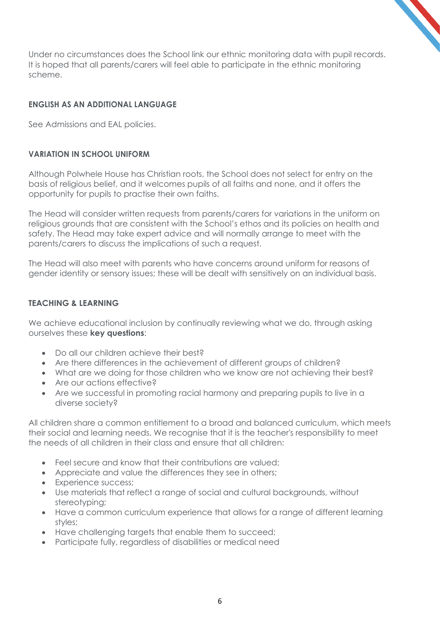Under no circumstances does the School link our ethnic monitoring data with pupil records. It is hoped that all parents/carers will feel able to participate in the ethnic monitoring scheme.

#### **ENGLISH AS AN ADDITIONAL LANGUAGE**

See Admissions and EAL policies.

#### **VARIATION IN SCHOOL UNIFORM**

Although Polwhele House has Christian roots, the School does not select for entry on the basis of religious belief, and it welcomes pupils of all faiths and none, and it offers the opportunity for pupils to practise their own faiths.

The Head will consider written requests from parents/carers for variations in the uniform on religious grounds that are consistent with the School's ethos and its policies on health and safety. The Head may take expert advice and will normally arrange to meet with the parents/carers to discuss the implications of such a request.

The Head will also meet with parents who have concerns around uniform for reasons of gender identity or sensory issues; these will be dealt with sensitively on an individual basis.

#### **TEACHING & LEARNING**

We achieve educational inclusion by continually reviewing what we do, through asking ourselves these **key questions**:

- Do all our children achieve their best?
- Are there differences in the achievement of different groups of children?
- What are we doing for those children who we know are not achieving their best?
- Are our actions effective?
- Are we successful in promoting racial harmony and preparing pupils to live in a diverse society?

All children share a common entitlement to a broad and balanced curriculum, which meets their social and learning needs. We recognise that it is the teacher's responsibility to meet the needs of all children in their class and ensure that all children:

- Feel secure and know that their contributions are valued;
- Appreciate and value the differences they see in others;
- Experience success;
- Use materials that reflect a range of social and cultural backgrounds, without stereotyping;
- Have a common curriculum experience that allows for a range of different learning styles;
- Have challenging targets that enable them to succeed;
- Participate fully, regardless of disabilities or medical need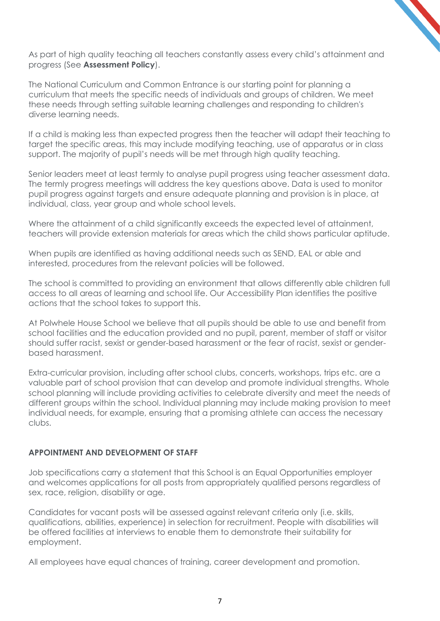As part of high quality teaching all teachers constantly assess every child's attainment and progress (See **Assessment Policy**).

The National Curriculum and Common Entrance is our starting point for planning a curriculum that meets the specific needs of individuals and groups of children. We meet these needs through setting suitable learning challenges and responding to children's diverse learning needs.

If a child is making less than expected progress then the teacher will adapt their teaching to target the specific areas, this may include modifying teaching, use of apparatus or in class support. The majority of pupil's needs will be met through high quality teaching.

Senior leaders meet at least termly to analyse pupil progress using teacher assessment data. The termly progress meetings will address the key questions above. Data is used to monitor pupil progress against targets and ensure adequate planning and provision is in place, at individual, class, year group and whole school levels.

Where the attainment of a child significantly exceeds the expected level of attainment, teachers will provide extension materials for areas which the child shows particular aptitude.

When pupils are identified as having additional needs such as SEND, EAL or able and interested, procedures from the relevant policies will be followed.

The school is committed to providing an environment that allows differently able children full access to all areas of learning and school life. Our Accessibility Plan identifies the positive actions that the school takes to support this.

At Polwhele House School we believe that all pupils should be able to use and benefit from school facilities and the education provided and no pupil, parent, member of staff or visitor should suffer racist, sexist or gender-based harassment or the fear of racist, sexist or genderbased harassment.

Extra-curricular provision, including after school clubs, concerts, workshops, trips etc. are a valuable part of school provision that can develop and promote individual strengths. Whole school planning will include providing activities to celebrate diversity and meet the needs of different groups within the school. Individual planning may include making provision to meet individual needs, for example, ensuring that a promising athlete can access the necessary clubs.

#### **APPOINTMENT AND DEVELOPMENT OF STAFF**

Job specifications carry a statement that this School is an Equal Opportunities employer and welcomes applications for all posts from appropriately qualified persons regardless of sex, race, religion, disability or age.

Candidates for vacant posts will be assessed against relevant criteria only (i.e. skills, qualifications, abilities, experience) in selection for recruitment. People with disabilities will be offered facilities at interviews to enable them to demonstrate their suitability for employment.

All employees have equal chances of training, career development and promotion.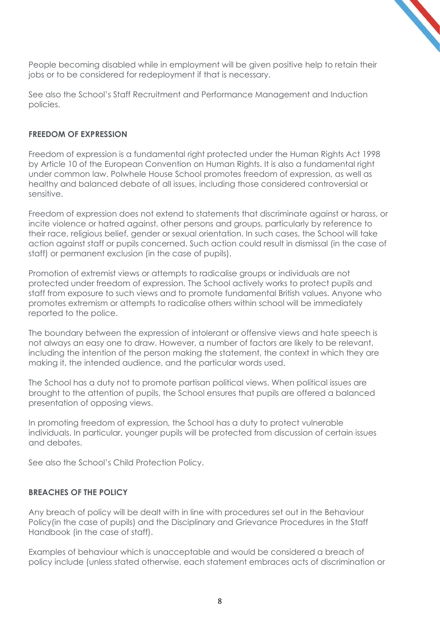People becoming disabled while in employment will be given positive help to retain their jobs or to be considered for redeployment if that is necessary.

See also the School's Staff Recruitment and Performance Management and Induction policies.

#### **FREEDOM OF EXPRESSION**

Freedom of expression is a fundamental right protected under the Human Rights Act 1998 by Article 10 of the European Convention on Human Rights. It is also a fundamental right under common law. Polwhele House School promotes freedom of expression, as well as healthy and balanced debate of all issues, including those considered controversial or sensitive.

Freedom of expression does not extend to statements that discriminate against or harass, or incite violence or hatred against, other persons and groups, particularly by reference to their race, religious belief, gender or sexual orientation. In such cases, the School will take action against staff or pupils concerned. Such action could result in dismissal (in the case of staff) or permanent exclusion (in the case of pupils).

Promotion of extremist views or attempts to radicalise groups or individuals are not protected under freedom of expression. The School actively works to protect pupils and staff from exposure to such views and to promote fundamental British values. Anyone who promotes extremism or attempts to radicalise others within school will be immediately reported to the police.

The boundary between the expression of intolerant or offensive views and hate speech is not always an easy one to draw. However, a number of factors are likely to be relevant, including the intention of the person making the statement, the context in which they are making it, the intended audience, and the particular words used.

The School has a duty not to promote partisan political views. When political issues are brought to the attention of pupils, the School ensures that pupils are offered a balanced presentation of opposing views.

In promoting freedom of expression, the School has a duty to protect vulnerable individuals. In particular, younger pupils will be protected from discussion of certain issues and debates.

See also the School's Child Protection Policy.

#### **BREACHES OF THE POLICY**

Any breach of policy will be dealt with in line with procedures set out in the Behaviour Policy(in the case of pupils) and the Disciplinary and Grievance Procedures in the Staff Handbook (in the case of staff).

Examples of behaviour which is unacceptable and would be considered a breach of policy include (unless stated otherwise, each statement embraces acts of discrimination or